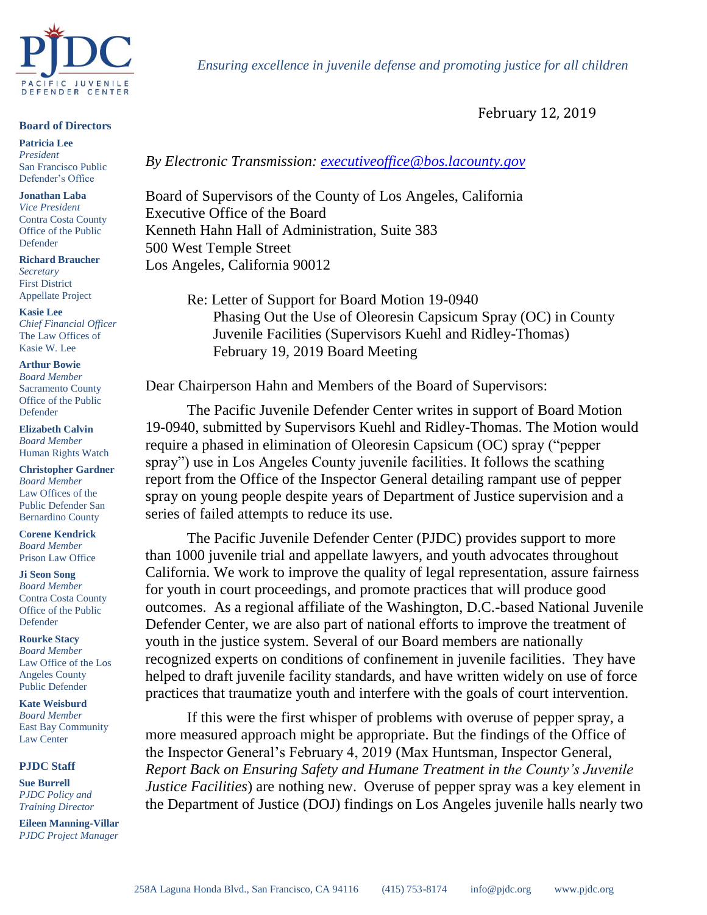

## **Board of Directors**

**Patricia Lee** *President* San Francisco Public Defender's Office

**Jonathan Laba** *Vice President* Contra Costa County Office of the Public Defender

**Richard Braucher** *Secretary* First District Appellate Project

**Kasie Lee** *Chief Financial Officer* The Law Offices of Kasie W. Lee

**Arthur Bowie**

*Board Member* Sacramento County Office of the Public Defender

**Elizabeth Calvin** *Board Member* Human Rights Watch

**Christopher Gardner** *Board Member* Law Offices of the Public Defender San Bernardino County

**Corene Kendrick** *Board Member* Prison Law Office

**Ji Seon Song** *Board Member* Contra Costa County Office of the Public

Defender

**Rourke Stacy** *Board Member* Law Office of the Los Angeles County Public Defender

**Kate Weisburd** *Board Member* East Bay Community Law Center

## **PJDC Staff**

**Sue Burrell** *PJDC Policy and Training Director*

**Eileen Manning-Villar** *PJDC Project Manager*

 *Ensuring excellence in juvenile defense and promoting justice for all children*

February 12, 2019

## *By Electronic Transmission: [executiveoffice@bos.lacounty.gov](mailto:executiveoffice@bos.lacounty.gov)*

Board of Supervisors of the County of Los Angeles, California Executive Office of the Board Kenneth Hahn Hall of Administration, Suite 383 500 West Temple Street Los Angeles, California 90012

> Re: Letter of Support for Board Motion 19-0940 Phasing Out the Use of Oleoresin Capsicum Spray (OC) in County Juvenile Facilities (Supervisors Kuehl and Ridley-Thomas) February 19, 2019 Board Meeting

Dear Chairperson Hahn and Members of the Board of Supervisors:

The Pacific Juvenile Defender Center writes in support of Board Motion 19-0940, submitted by Supervisors Kuehl and Ridley-Thomas. The Motion would require a phased in elimination of Oleoresin Capsicum (OC) spray ("pepper spray") use in Los Angeles County juvenile facilities. It follows the scathing report from the Office of the Inspector General detailing rampant use of pepper spray on young people despite years of Department of Justice supervision and a series of failed attempts to reduce its use.

The Pacific Juvenile Defender Center (PJDC) provides support to more than 1000 juvenile trial and appellate lawyers, and youth advocates throughout California. We work to improve the quality of legal representation, assure fairness for youth in court proceedings, and promote practices that will produce good outcomes. As a regional affiliate of the Washington, D.C.-based National Juvenile Defender Center, we are also part of national efforts to improve the treatment of youth in the justice system. Several of our Board members are nationally recognized experts on conditions of confinement in juvenile facilities. They have helped to draft juvenile facility standards, and have written widely on use of force practices that traumatize youth and interfere with the goals of court intervention.

If this were the first whisper of problems with overuse of pepper spray, a more measured approach might be appropriate. But the findings of the Office of the Inspector General's February 4, 2019 (Max Huntsman, Inspector General, *Report Back on Ensuring Safety and Humane Treatment in the County's Juvenile Justice Facilities*) are nothing new. Overuse of pepper spray was a key element in the Department of Justice (DOJ) findings on Los Angeles juvenile halls nearly two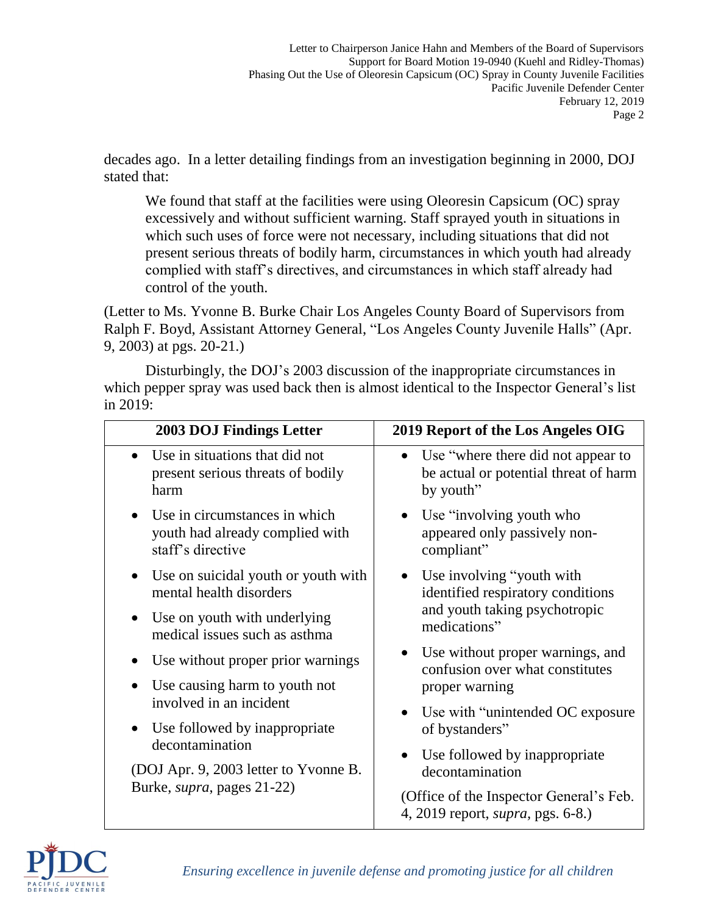decades ago. In a letter detailing findings from an investigation beginning in 2000, DOJ stated that:

We found that staff at the facilities were using Oleoresin Capsicum (OC) spray excessively and without sufficient warning. Staff sprayed youth in situations in which such uses of force were not necessary, including situations that did not present serious threats of bodily harm, circumstances in which youth had already complied with staff's directives, and circumstances in which staff already had control of the youth.

(Letter to Ms. Yvonne B. Burke Chair Los Angeles County Board of Supervisors from Ralph F. Boyd, Assistant Attorney General, "Los Angeles County Juvenile Halls" (Apr. 9, 2003) at pgs. 20-21.)

Disturbingly, the DOJ's 2003 discussion of the inappropriate circumstances in which pepper spray was used back then is almost identical to the Inspector General's list in 2019:

| 2003 DOJ Findings Letter                                                                 | 2019 Report of the Los Angeles OIG                                                                    |
|------------------------------------------------------------------------------------------|-------------------------------------------------------------------------------------------------------|
| Use in situations that did not<br>$\bullet$<br>present serious threats of bodily<br>harm | Use "where there did not appear to<br>$\bullet$<br>be actual or potential threat of harm<br>by youth" |
| Use in circumstances in which<br>youth had already complied with<br>staff's directive    | Use "involving youth who<br>appeared only passively non-<br>compliant"                                |
| Use on suicidal youth or youth with<br>$\bullet$<br>mental health disorders              | Use involving "youth with<br>identified respiratory conditions                                        |
| Use on youth with underlying<br>medical issues such as asthma                            | and youth taking psychotropic<br>medications"                                                         |
| Use without proper prior warnings<br>Use causing harm to youth not                       | Use without proper warnings, and<br>confusion over what constitutes<br>proper warning                 |
| involved in an incident<br>Use followed by inappropriate<br>decontamination              | Use with "unintended OC exposure"<br>$\bullet$<br>of bystanders"                                      |
| (DOJ Apr. 9, 2003 letter to Yvonne B.<br>Burke, <i>supra</i> , pages 21-22)              | Use followed by inappropriate<br>decontamination<br>(Office of the Inspector General's Feb.           |
|                                                                                          | 4, 2019 report, <i>supra</i> , pgs. 6-8.)                                                             |



*Ensuring excellence in juvenile defense and promoting justice for all children*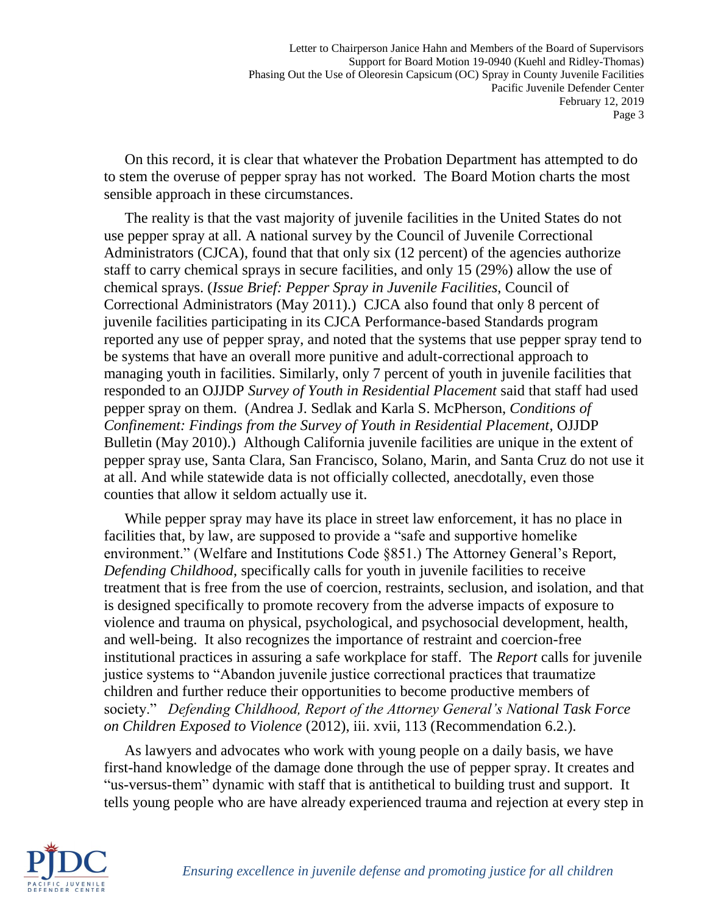Letter to Chairperson Janice Hahn and Members of the Board of Supervisors Support for Board Motion 19-0940 (Kuehl and Ridley-Thomas) Phasing Out the Use of Oleoresin Capsicum (OC) Spray in County Juvenile Facilities Pacific Juvenile Defender Center February 12, 2019 Page 3

On this record, it is clear that whatever the Probation Department has attempted to do to stem the overuse of pepper spray has not worked. The Board Motion charts the most sensible approach in these circumstances.

The reality is that the vast majority of juvenile facilities in the United States do not use pepper spray at all. A national survey by the Council of Juvenile Correctional Administrators (CJCA), found that that only six (12 percent) of the agencies authorize staff to carry chemical sprays in secure facilities, and only 15 (29%) allow the use of chemical sprays. (*Issue Brief: Pepper Spray in Juvenile Facilities*, Council of Correctional Administrators (May 2011).) CJCA also found that only 8 percent of juvenile facilities participating in its CJCA Performance-based Standards program reported any use of pepper spray, and noted that the systems that use pepper spray tend to be systems that have an overall more punitive and adult-correctional approach to managing youth in facilities. Similarly, only 7 percent of youth in juvenile facilities that responded to an OJJDP *Survey of Youth in Residential Placement* said that staff had used pepper spray on them. (Andrea J. Sedlak and Karla S. McPherson, *Conditions of Confinement: Findings from the Survey of Youth in Residential Placement*, OJJDP Bulletin (May 2010).) Although California juvenile facilities are unique in the extent of pepper spray use, Santa Clara, San Francisco, Solano, Marin, and Santa Cruz do not use it at all. And while statewide data is not officially collected, anecdotally, even those counties that allow it seldom actually use it.

While pepper spray may have its place in street law enforcement, it has no place in facilities that, by law, are supposed to provide a "safe and supportive homelike environment." (Welfare and Institutions Code §851.) The Attorney General's Report, *Defending Childhood*, specifically calls for youth in juvenile facilities to receive treatment that is free from the use of coercion, restraints, seclusion, and isolation, and that is designed specifically to promote recovery from the adverse impacts of exposure to violence and trauma on physical, psychological, and psychosocial development, health, and well-being. It also recognizes the importance of restraint and coercion-free institutional practices in assuring a safe workplace for staff. The *Report* calls for juvenile justice systems to "Abandon juvenile justice correctional practices that traumatize children and further reduce their opportunities to become productive members of society." *Defending Childhood, Report of the Attorney General's National Task Force on Children Exposed to Violence* (2012), iii. xvii, 113 (Recommendation 6.2.).

As lawyers and advocates who work with young people on a daily basis, we have first-hand knowledge of the damage done through the use of pepper spray. It creates and "us-versus-them" dynamic with staff that is antithetical to building trust and support. It tells young people who are have already experienced trauma and rejection at every step in

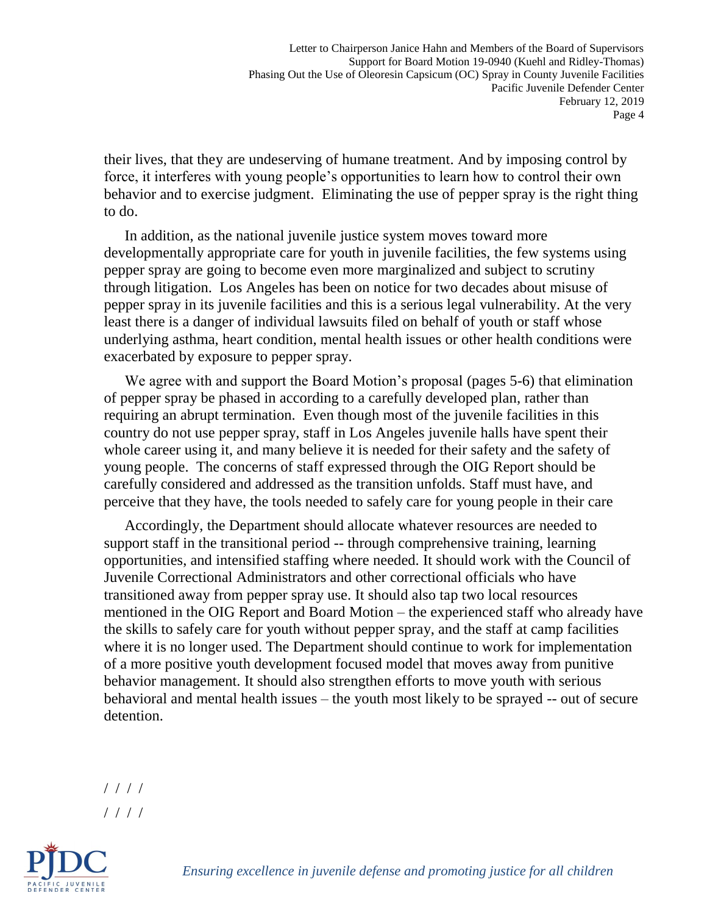Letter to Chairperson Janice Hahn and Members of the Board of Supervisors Support for Board Motion 19-0940 (Kuehl and Ridley-Thomas) Phasing Out the Use of Oleoresin Capsicum (OC) Spray in County Juvenile Facilities Pacific Juvenile Defender Center February 12, 2019 Page 4

their lives, that they are undeserving of humane treatment. And by imposing control by force, it interferes with young people's opportunities to learn how to control their own behavior and to exercise judgment. Eliminating the use of pepper spray is the right thing to do.

In addition, as the national juvenile justice system moves toward more developmentally appropriate care for youth in juvenile facilities, the few systems using pepper spray are going to become even more marginalized and subject to scrutiny through litigation. Los Angeles has been on notice for two decades about misuse of pepper spray in its juvenile facilities and this is a serious legal vulnerability. At the very least there is a danger of individual lawsuits filed on behalf of youth or staff whose underlying asthma, heart condition, mental health issues or other health conditions were exacerbated by exposure to pepper spray.

We agree with and support the Board Motion's proposal (pages 5-6) that elimination of pepper spray be phased in according to a carefully developed plan, rather than requiring an abrupt termination. Even though most of the juvenile facilities in this country do not use pepper spray, staff in Los Angeles juvenile halls have spent their whole career using it, and many believe it is needed for their safety and the safety of young people. The concerns of staff expressed through the OIG Report should be carefully considered and addressed as the transition unfolds. Staff must have, and perceive that they have, the tools needed to safely care for young people in their care

Accordingly, the Department should allocate whatever resources are needed to support staff in the transitional period -- through comprehensive training, learning opportunities, and intensified staffing where needed. It should work with the Council of Juvenile Correctional Administrators and other correctional officials who have transitioned away from pepper spray use. It should also tap two local resources mentioned in the OIG Report and Board Motion – the experienced staff who already have the skills to safely care for youth without pepper spray, and the staff at camp facilities where it is no longer used. The Department should continue to work for implementation of a more positive youth development focused model that moves away from punitive behavior management. It should also strengthen efforts to move youth with serious behavioral and mental health issues – the youth most likely to be sprayed -- out of secure detention.

<sup>/ / / /</sup> / / / /



*Ensuring excellence in juvenile defense and promoting justice for all children*